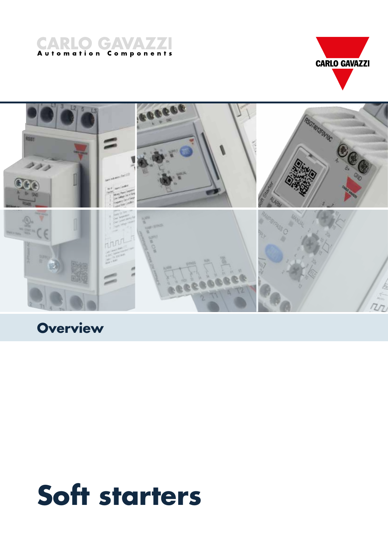





**Building Automatic Automatic Automatic Automatic Automatic Automatic Automatic A** 

# **Soft starters**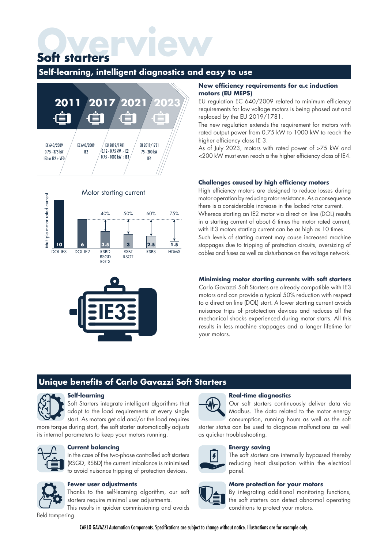# **Overview Soft starters**

#### **Self-learning, intelligent diagnostics and easy to use**







#### **New efficiency requirements for a.c induction motors (EU MEPS)**

EU regulation EC 640/2009 related to minimum efficiency requirements for low voltage motors is being phased out and replaced by the EU 2019/1781.

The new regulation extends the requirement for motors with rated output power from 0.75 kW to 1000 kW to reach the higher efficiency class IE 3.

As of July 2023, motors with rated power of >75 kW and <200 kW must even reach a the higher efficiency class of IE4.

#### **Challenges caused by high efficiency motors**

High efficiency motors are designed to reduce losses during motor operation by reducing rotor resistance. As a consequence there is a considerable increase in the locked rotor current.

Whereas starting an IE2 motor via direct on line (DOL) results in a starting current of about 6 times the motor rated current, with IE3 motors starting current can be as high as 10 times.

Such levels of starting current may cause increased machine stoppages due to tripping of protection circuits, oversizing of cables and fuses as well as disturbance on the voltage network.

#### **Minimising motor starting currents with soft starters**

Carlo Gavazzi Soft Starters are already compatible with IE3 motors and can provide a typical 50% reduction with respect to a direct on line (DOL) start. A lower starting current avoids nuisance trips of prototection devices and reduces all the mechanical shocks experienced during motor starts. All this results in less machine stoppages and a longer lifetime for your motors.

## **Unique benefits of Carlo Gavazzi Soft Starters**



#### **Self-learning**

Soft Starters integrate intelligent algorithms that adapt to the load requirements at every single start. As motors get old and/or the load requires

more torque during start, the soft starter automatically adjusts its internal parameters to keep your motors running.



#### **Current balancing**

In the case of the two-phase controlled soft starters (RSGD, RSBD) the current imbalance is minimised to avoid nuisance tripping of protection devices.



#### **Fewer user adjustments**

Thanks to the self-learning algorithm, our soft starters require minimal user adjustments.

This results in quicker commissioning and avoids field tampering.



#### **Real-time diagnostics**

Our soft starters continuously deliver data via Modbus. The data related to the motor energy consumption, running hours as well as the soft

starter status can be used to diagnose malfunctions as well as quicker troubleshooting.



#### **Energy saving**

The soft starters are internally bypassed thereby reducing heat dissipation within the electrical panel.

#### **More protection for your motors**



By integrating additional monitoring functions, the soft starters can detect abnormal operating conditions to protect your motors.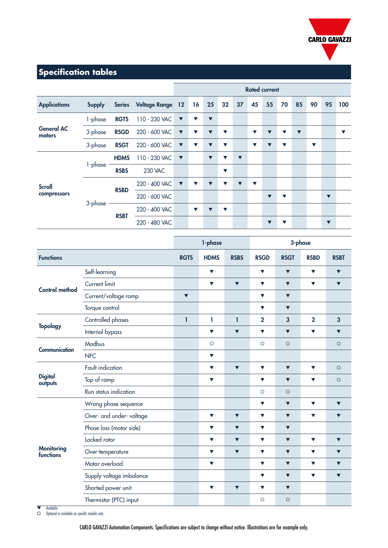

## **Specification tables**

|                              |                                       |               |                         | <b>Rated current</b> |                      |                      |                      |                      |                      |                      |                      |                      |                      |                      |                      |
|------------------------------|---------------------------------------|---------------|-------------------------|----------------------|----------------------|----------------------|----------------------|----------------------|----------------------|----------------------|----------------------|----------------------|----------------------|----------------------|----------------------|
| <b>Applications</b>          | <b>Supply</b>                         | <b>Series</b> | <b>Voltage Range 12</b> |                      | 16                   | 25                   | 32                   | 37                   | 45                   | 55                   | 70                   | 85                   | 90                   | 95                   | 100                  |
|                              | 1-phase                               | <b>RGTS</b>   | 110 - 230 VAC           | $\blacktriangledown$ | $\blacktriangledown$ | $\blacktriangledown$ |                      |                      |                      |                      |                      |                      |                      |                      |                      |
| <b>General AC</b><br>motors  | 3-phase                               | <b>RSGD</b>   | 220 - 600 VAC           | $\blacktriangledown$ | $\blacktriangledown$ | ▼                    | $\blacktriangledown$ |                      | $\blacktriangledown$ | $\blacktriangledown$ | $\blacktriangledown$ | $\blacktriangledown$ |                      |                      | $\blacktriangledown$ |
|                              | 3-phase                               | <b>RSGT</b>   | 220 - 600 VAC           | $\blacktriangledown$ | $\blacktriangledown$ | ▼                    | $\blacktriangledown$ |                      | $\blacktriangledown$ | ▼                    | $\blacktriangledown$ |                      | $\blacktriangledown$ |                      |                      |
| <b>Scroll</b><br>compressors | 1-phase                               | <b>HDMS</b>   | 110 - 230 VAC           | $\blacktriangledown$ |                      | $\blacktriangledown$ | $\blacktriangledown$ | $\blacktriangledown$ |                      |                      |                      |                      |                      |                      |                      |
|                              |                                       | <b>RSBS</b>   | <b>230 VAC</b>          |                      |                      |                      | $\blacktriangledown$ |                      |                      |                      |                      |                      |                      |                      |                      |
|                              | <b>RSBD</b><br>3-phase<br><b>RSBT</b> |               | 220 - 400 VAC           | $\blacktriangledown$ | $\blacktriangledown$ |                      | ▼                    | $\blacktriangledown$ | $\blacktriangledown$ |                      |                      |                      |                      |                      |                      |
|                              |                                       |               | 220 - 600 VAC           |                      |                      |                      |                      |                      |                      | $\blacktriangledown$ | $\blacktriangledown$ |                      |                      | $\blacktriangledown$ |                      |
|                              |                                       |               | 220 - 400 VAC           |                      | $\blacktriangledown$ | $\blacksquare$       | $\blacktriangledown$ |                      |                      |                      |                      |                      |                      |                      |                      |
|                              |                                       |               | 220 - 480 VAC           |                      |                      |                      |                      |                      |                      | ▼                    | ▼                    |                      |                      | $\blacktriangledown$ |                      |

| <b>Functions</b><br><b>RGTS</b><br><b>HDMS</b><br><b>RSBS</b><br><b>RSGD</b><br><b>RSGT</b><br><b>RSBD</b><br><b>RSBT</b><br>Self-learning<br>$\blacktriangledown$<br>$\blacktriangledown$<br>$\blacktriangledown$<br>$\blacktriangledown$<br>$\blacktriangledown$<br>Current limit<br>$\blacktriangledown$<br>$\blacktriangledown$<br>$\blacktriangledown$<br>$\blacktriangledown$<br>$\blacktriangledown$<br>$\blacktriangledown$<br><b>Control method</b><br>Current/voltage ramp<br>$\blacktriangledown$<br>$\blacktriangledown$<br>$\blacktriangledown$<br>Torque control<br>$\blacktriangledown$<br>$\blacktriangledown$<br>Controlled phases<br>1<br>$\overline{2}$<br>$\overline{\mathbf{3}}$<br>1<br>1<br>$\overline{2}$<br>$\overline{\mathbf{3}}$<br><b>Topology</b><br>Internal bypass<br>$\blacktriangledown$<br>$\blacktriangledown$<br>$\blacktriangledown$<br>$\blacktriangledown$<br>$\blacktriangledown$<br>Modbus<br>$\circ$<br>$\circ$<br>$\circ$<br>$\circ$<br>Communication<br><b>NFC</b><br>$\blacktriangledown$ |                      | 3-phase |                      |                      |                      | 1-phase              |                      |                  |                                                             |
|-----------------------------------------------------------------------------------------------------------------------------------------------------------------------------------------------------------------------------------------------------------------------------------------------------------------------------------------------------------------------------------------------------------------------------------------------------------------------------------------------------------------------------------------------------------------------------------------------------------------------------------------------------------------------------------------------------------------------------------------------------------------------------------------------------------------------------------------------------------------------------------------------------------------------------------------------------------------------------------------------------------------------------------------|----------------------|---------|----------------------|----------------------|----------------------|----------------------|----------------------|------------------|-------------------------------------------------------------|
|                                                                                                                                                                                                                                                                                                                                                                                                                                                                                                                                                                                                                                                                                                                                                                                                                                                                                                                                                                                                                                         |                      |         |                      |                      |                      |                      |                      |                  |                                                             |
|                                                                                                                                                                                                                                                                                                                                                                                                                                                                                                                                                                                                                                                                                                                                                                                                                                                                                                                                                                                                                                         |                      |         |                      |                      |                      |                      |                      |                  |                                                             |
|                                                                                                                                                                                                                                                                                                                                                                                                                                                                                                                                                                                                                                                                                                                                                                                                                                                                                                                                                                                                                                         |                      |         |                      |                      |                      |                      |                      |                  |                                                             |
|                                                                                                                                                                                                                                                                                                                                                                                                                                                                                                                                                                                                                                                                                                                                                                                                                                                                                                                                                                                                                                         |                      |         |                      |                      |                      |                      |                      |                  |                                                             |
|                                                                                                                                                                                                                                                                                                                                                                                                                                                                                                                                                                                                                                                                                                                                                                                                                                                                                                                                                                                                                                         |                      |         |                      |                      |                      |                      |                      |                  |                                                             |
|                                                                                                                                                                                                                                                                                                                                                                                                                                                                                                                                                                                                                                                                                                                                                                                                                                                                                                                                                                                                                                         |                      |         |                      |                      |                      |                      |                      |                  |                                                             |
|                                                                                                                                                                                                                                                                                                                                                                                                                                                                                                                                                                                                                                                                                                                                                                                                                                                                                                                                                                                                                                         | $\blacktriangledown$ |         |                      |                      |                      |                      |                      |                  |                                                             |
|                                                                                                                                                                                                                                                                                                                                                                                                                                                                                                                                                                                                                                                                                                                                                                                                                                                                                                                                                                                                                                         |                      |         |                      |                      |                      |                      |                      |                  |                                                             |
|                                                                                                                                                                                                                                                                                                                                                                                                                                                                                                                                                                                                                                                                                                                                                                                                                                                                                                                                                                                                                                         |                      |         |                      |                      |                      |                      |                      |                  |                                                             |
|                                                                                                                                                                                                                                                                                                                                                                                                                                                                                                                                                                                                                                                                                                                                                                                                                                                                                                                                                                                                                                         | $\circ$              |         | $\blacktriangledown$ | $\blacktriangledown$ | $\blacktriangledown$ | $\blacktriangledown$ | $\blacktriangledown$ | Fault indication | <b>Digital</b><br>outputs<br><b>Monitoring</b><br>functions |
| Top of ramp<br>$\blacktriangledown$<br>$\circ$<br>$\blacktriangledown$<br>$\blacktriangledown$<br>$\blacktriangledown$                                                                                                                                                                                                                                                                                                                                                                                                                                                                                                                                                                                                                                                                                                                                                                                                                                                                                                                  |                      |         |                      |                      |                      |                      |                      |                  |                                                             |
| Run status indication<br>$\circ$<br>$\circ$                                                                                                                                                                                                                                                                                                                                                                                                                                                                                                                                                                                                                                                                                                                                                                                                                                                                                                                                                                                             |                      |         |                      |                      |                      |                      |                      |                  |                                                             |
| Wrong phase sequence<br>$\blacktriangledown$<br>$\blacktriangledown$<br>$\blacktriangledown$<br>$\blacktriangledown$                                                                                                                                                                                                                                                                                                                                                                                                                                                                                                                                                                                                                                                                                                                                                                                                                                                                                                                    |                      |         |                      |                      |                      |                      |                      |                  |                                                             |
| Over- and under-voltage<br>▼<br>$\blacktriangledown$<br>$\blacktriangledown$<br>$\blacktriangledown$<br>$\blacktriangledown$<br>$\blacktriangledown$                                                                                                                                                                                                                                                                                                                                                                                                                                                                                                                                                                                                                                                                                                                                                                                                                                                                                    |                      |         |                      |                      |                      |                      |                      |                  |                                                             |
| Phase loss (motor side)<br>$\blacktriangledown$<br>$\blacktriangledown$<br>$\blacktriangledown$<br>$\blacktriangledown$                                                                                                                                                                                                                                                                                                                                                                                                                                                                                                                                                                                                                                                                                                                                                                                                                                                                                                                 |                      |         |                      |                      |                      |                      |                      |                  |                                                             |
| Locked rotor<br>$\blacktriangledown$<br>$\blacktriangledown$<br>$\blacktriangledown$<br>$\blacktriangledown$<br>$\blacktriangledown$<br>$\blacktriangledown$                                                                                                                                                                                                                                                                                                                                                                                                                                                                                                                                                                                                                                                                                                                                                                                                                                                                            |                      |         |                      |                      |                      |                      |                      |                  |                                                             |
| Over-temperature<br>$\blacktriangledown$<br>$\blacktriangledown$<br>$\blacktriangledown$<br>$\blacktriangledown$<br>$\blacktriangledown$<br>$\blacktriangledown$                                                                                                                                                                                                                                                                                                                                                                                                                                                                                                                                                                                                                                                                                                                                                                                                                                                                        |                      |         |                      |                      |                      |                      |                      |                  |                                                             |
| Motor overload<br>$\blacktriangledown$<br>$\blacktriangledown$<br>$\blacktriangledown$<br>$\blacktriangledown$<br>$\blacktriangledown$                                                                                                                                                                                                                                                                                                                                                                                                                                                                                                                                                                                                                                                                                                                                                                                                                                                                                                  |                      |         |                      |                      |                      |                      |                      |                  |                                                             |
| Supply voltage imbalance<br>$\blacktriangledown$<br>$\blacktriangledown$<br>$\blacktriangledown$<br>$\blacktriangledown$                                                                                                                                                                                                                                                                                                                                                                                                                                                                                                                                                                                                                                                                                                                                                                                                                                                                                                                |                      |         |                      |                      |                      |                      |                      |                  |                                                             |
| Shorted power unit<br>$\blacktriangledown$<br>$\blacktriangledown$<br>$\blacktriangledown$<br>$\blacktriangledown$                                                                                                                                                                                                                                                                                                                                                                                                                                                                                                                                                                                                                                                                                                                                                                                                                                                                                                                      |                      |         |                      |                      |                      |                      |                      |                  |                                                             |
| Thermistor (PTC) input<br>$\circ$<br>$\circ$                                                                                                                                                                                                                                                                                                                                                                                                                                                                                                                                                                                                                                                                                                                                                                                                                                                                                                                                                                                            |                      |         |                      |                      |                      |                      |                      |                  |                                                             |

▼ Available O Optional or available on specific models only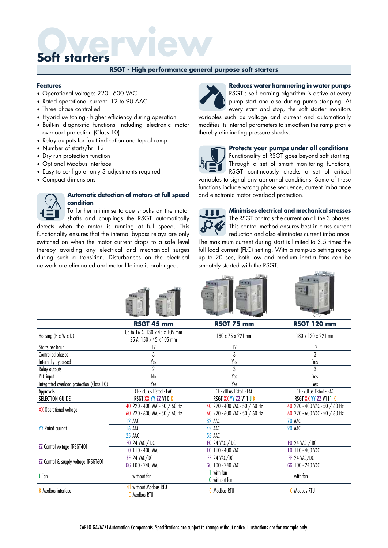#### **RSGT - High performance general purpose soft starters**

#### **Features**

- Operational voltage: 220 600 VAC
- Rated operational current: 12 to 90 AAC
- Three phase controlled
- Hybrid switching higher efficiency during operation
- Built-in diagnostic functions including electronic motor overload protection (Class 10)
- Relay outputs for fault indication and top of ramp
- Number of starts/hr: 12
- Dry run protection function
- Optional Modbus interface
- Easy to configure: only 3 adjustments required
- Compact dimensions



#### **Automatic detection of motors at full speed condition**

To further minimise torque shocks on the motor shafts and couplings the RSGT automatically

detects when the motor is running at full speed. This functionality ensures that the internal bypass relays are only switched on when the motor current drops to a safe level thereby avoiding any electrical and mechanical surges during such a transition. Disturbances on the electrical network are eliminated and motor lifetime is prolonged.



#### **Reduces water hammering in water pumps** RSGT's self-learning algorithm is active at every

pump start and also during pump stopping. At every start and stop, the soft starter monitors

variables such as voltage and current and automatically modifies its internal parameters to smoothen the ramp profile thereby eliminating pressure shocks.



#### **Protects your pumps under all conditions**

Functionality of RSGT goes beyond soft starting. Through a set of smart monitoring functions, RSGT continuously checks a set of critical

variables to signal any abnormal conditions. Some of these functions include wrong phase sequence, current imbalance and electronic motor overload protection.



**Minimises electrical and mechanical stresses** The RSGT controls the current on all the 3 phases. This control method ensures best in class current reduction and also eliminates current imbalance.

The maximum current during start is limited to 3.5 times the full load current (FLC) setting. With a ramp-up setting range up to 20 sec, both low and medium inertia fans can be smoothly started with the RSGT.





|                                           | RSGT 45 mm                                               | RSGT 75 mm                    | <b>RSGT 120 mm</b>            |  |
|-------------------------------------------|----------------------------------------------------------|-------------------------------|-------------------------------|--|
| Housing (H x W x D)                       | Up to 16 A: 130 x 45 x 105 mm<br>25 A: 150 x 45 x 105 mm | 180 x 75 x 221 mm             | 180 x 120 x 221 mm            |  |
| Starts per hour                           | 12                                                       | 12                            | 12                            |  |
| Controlled phases                         | 3                                                        | 3                             | 3                             |  |
| Internally bypassed                       | Yes                                                      | Yes                           | Yes                           |  |
| Relay outputs                             |                                                          | 3                             | 3                             |  |
| PTC input                                 | No                                                       | Yes                           | Yes                           |  |
| Integrated overload protection (Class 10) | Yes                                                      | Yes                           | Yes                           |  |
| Approvals                                 | CE - cULus Listed - EAC                                  | CE - cULus Listed - EAC       | CE - cULus Listed - EAC       |  |
| <b>SELECTION GUIDE</b>                    | RSGT XX YY ZZ V10 K                                      | RSGT XX YY ZZ VII J K         | RSGT XX YY ZZ VIII K          |  |
|                                           | 40 220 - 400 VAC - 50 / 60 Hz                            | 40 220 - 400 VAC - 50 / 60 Hz | 40 220 - 400 VAC - 50 / 60 Hz |  |
| <b>XX Operational voltage</b>             | 60 220 - 600 VAC - 50 / 60 Hz                            | 60 220 - 600 VAC - 50 / 60 Hz | 60 220 - 600 VAC - 50 / 60 Hz |  |
|                                           | 12 AAC                                                   | 32 AAC                        | <b>70 AAC</b>                 |  |
| <b>YY</b> Rated current                   | <b>16 AAC</b>                                            | 45 AAC                        | <b>90 AAC</b>                 |  |
|                                           | 25 AAC                                                   | <b>55 AAC</b>                 |                               |  |
|                                           | FO 24 VAC / DC                                           | FO 24 VAC / DC                | FO 24 VAC / DC                |  |
| ZZ Control voltage [RSGT40]               | EO 110 - 400 VAC                                         | E0 110 - 400 VAC              | E0 110 - 400 VAC              |  |
|                                           | FF 24 VAC/DC                                             | FF 24 VAC/DC                  | FF 24 VAC/DC                  |  |
| ZZ Control & supply voltage [RSGT60]      | GG 100 - 240 VAC                                         | GG 100 - 240 VAC              | GG 100 - 240 VAC              |  |
|                                           |                                                          | with fan                      |                               |  |
| J Fan                                     | without fan                                              | 0 without fan                 | with fan                      |  |
| <b>K</b> Modbus interface                 | without Modbus RTU<br>Nil                                | <b>C</b> Modbus RTU           | <b>C</b> Modbus RTU           |  |
|                                           | <b>C</b> Modbus RTU                                      |                               |                               |  |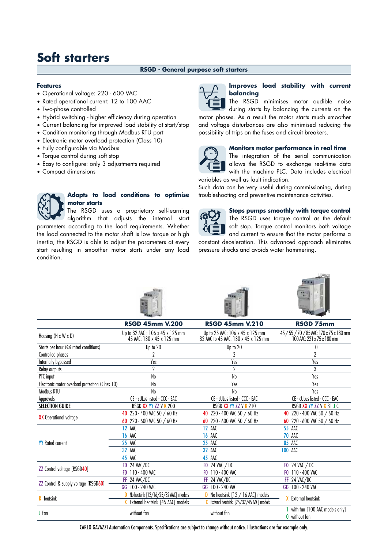#### **RSGD - General purpose soft starters**

#### **Features**

- Operational voltage: 220 600 VAC
- Rated operational current: 12 to 100 AAC
- Two-phase controlled
- Hybrid switching higher efficiency during operation
- Current balancing for improved load stability at start/stop
- Condition monitoring through Modbus RTU port
- Electronic motor overload protection (Class 10)
- Fully configurable via Modbus
- Torque control during soft stop
- Easy to configure: only 3 adjustments required
- Compact dimensions

#### **Adapts to load conditions to optimise motor starts**

The RSGD uses a proprietary self-learning algorithm that adjusts the internal start parameters according to the load requirements. Whether the load connected to the motor shaft is low torque or high inertia, the RSGD is able to adjust the parameters at every start resulting in smoother motor starts under any load condition.



#### **Improves load stability with current balancing**

The RSGD minimises motor audible noise during starts by balancing the currents on the

motor phases. As a result the motor starts much smoother and voltage disturbances are also minimised reducing the possibility of trips on the fuses and circuit breakers.



#### **Monitors motor performance in real time**

The integration of the serial communication allows the RSGD to exchange real-time data with the machine PLC. Data includes electrical variables as well as fault indication.

Such data can be very useful during commissioning, during troubleshooting and preventive maintenance activities.



**Stops pumps smoothly with torque control** The RSGD uses torque control as the default soft stop. Torque control monitors both voltage and current to ensure that the motor performs a

constant deceleration. This advanced approach eliminates pressure shocks and avoids water hammering.



|                                                 | <b>RSGD 45mm V.200</b>                                                           | <b>RSGD 45mm V.210</b>                                                 | <b>RSGD 75mm</b>                                                       |
|-------------------------------------------------|----------------------------------------------------------------------------------|------------------------------------------------------------------------|------------------------------------------------------------------------|
| Housing (H x W x D)                             | Up to 32 AAC: 106 x 45 x 125 mm<br>45 AAC: 130 x 45 x 125 mm                     | Up to 25 AAC: 106 x 45 x 125 mm<br>32 AAC to 45 AAC: 130 x 45 x 125 mm | 45 / 55 / 70 / 85 AAC: 170 x 75 x 180 mm<br>100 AÁC: 221 x 75 x 180 mm |
| Starts per hour (@ rated conditions)            | Up to 20                                                                         | Up to 20                                                               | 10                                                                     |
| Controlled phases                               |                                                                                  |                                                                        | $\overline{2}$                                                         |
| Internally bypassed                             | Yes                                                                              | Yes                                                                    | Yes                                                                    |
| Relay outputs                                   | 2                                                                                | $\overline{2}$                                                         | 3                                                                      |
| PTC input                                       | No                                                                               | No                                                                     | Yes                                                                    |
| Electronic motor overload protection (Class 10) | No                                                                               | Yes                                                                    | Yes                                                                    |
| Modbus RTU                                      | No                                                                               | No                                                                     | Yes                                                                    |
| Approvals                                       | CE - cULus listed - CCC - EAC                                                    | CE - cULus listed - CCC - EAC                                          | CE - cULus listed - CCC - EAC                                          |
| <b>SELECTION GUIDE</b>                          | RSGD XX YY ZZ V K 200                                                            | RSGD XX YY ZZ V K 210                                                  | RSGD XX YY ZZ V X 31 J C                                               |
| <b>XX</b> Operational voltage                   | 40 220 - 400 VAC 50 / 60 Hz                                                      | 40 220 - 400 VAC 50 / 60 Hz                                            | 220 - 400 VAC 50 / 60 Hz<br>40                                         |
|                                                 | 60 220 - 600 VAC 50 / 60 Hz                                                      | 60 220 - 600 VAC 50 / 60 Hz                                            | 220 - 600 VAC 50 / 60 Hz<br>60                                         |
|                                                 | <b>12 AAC</b>                                                                    | <b>12 AAC</b>                                                          | <b>55 AAC</b>                                                          |
|                                                 | <b>16 AAC</b>                                                                    | <b>16 AAC</b>                                                          | <b>70 AAC</b>                                                          |
| <b>YY</b> Rated current                         | <b>25 AAC</b>                                                                    | <b>25 AAC</b>                                                          | <b>85 AAC</b>                                                          |
|                                                 | <b>32 AAC</b>                                                                    | <b>32 AAC</b>                                                          | <b>100 AAC</b>                                                         |
|                                                 | 45 AAC                                                                           | 45 AAC                                                                 |                                                                        |
|                                                 | <b>FO 24 VAC/DC</b>                                                              | <b>FO</b> 24 VAC / DC                                                  | <b>FO</b> 24 VAC / DC                                                  |
| <b>ZZ</b> Control voltage [RSGD40]              | FO 110 - 400 VAC                                                                 | FO 110 - 400 VAC                                                       | FO 110 - 400 VAC                                                       |
|                                                 | FF 24 VAC/DC                                                                     | FF 24 VAC/DC                                                           | FF 24 VAC/DC                                                           |
| ZZ Control & supply voltage [RSGD60]            | GG 100 - 240 VAC                                                                 | GG 100 - 240 VAC                                                       | GG 100 - 240 VAC                                                       |
|                                                 | D No heatsink [12/16/25/32 AAC] models                                           | <b>D</b> No heatsink $[12 / 16$ AAC] models                            |                                                                        |
| <b>K</b> Heatsink                               | X External heatsink [45 AAC] models<br>X External heatsink [25/32/45 AAC] models |                                                                        | <b>X</b> External heatsink                                             |
| J Fan                                           | without fan                                                                      | without fan                                                            | with fan [100 AAC models only]                                         |
|                                                 |                                                                                  |                                                                        | 0 without fan                                                          |

CARLO GAVAZZI Automation Components. Specifications are subject to change without notice. Illustrations are for example only.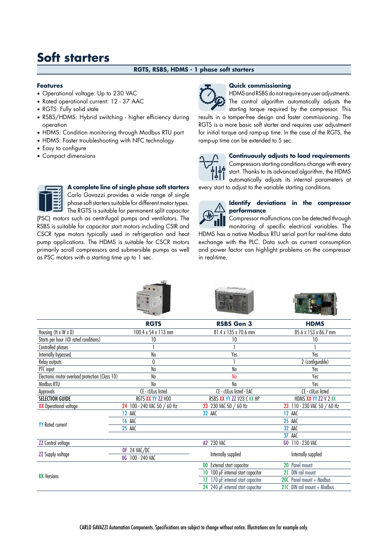#### **RGTS, RSBS, HDMS - 1 phase soft starters**

#### **Features**

- Operational voltage: Up to 230 VAC
- Rated operational current: 12 37 AAC
- RGTS: Fully solid state
- RSBS/HDMS: Hybrid switching higher efficiency during operation
- HDMS: Condition monitoring through Modbus RTU port
- HDMS: Faster troubleshooting with NFC technology
- Easy to configure
- Compact dimensions

**A complete line of single phase soft starters** Carlo Gavazzi provides a wide range of single phase soft starters suitable for different motor types.

The RGTS is suitable for permanent split capacitor (PSC) motors such as centrifugal pumps and ventilators. The

RSBS is suitable for capacitor start motors including CSIR and CSCR type motors typically used in refrigeration and heat pump applications. The HDMS is suitable for CSCR motors primarily scroll compressors and submersible pumps as well as PSC motors with a starting time up to 1 sec.

#### **Quick commissioning**

HDMS and RSBS do not require any user adjustments. The control algorithm automatically adjusts the

starting torque required by the compressor. This results in a tamper-free design and faster commissioning. The RGTS is a more basic soft starter and requires user adjustment for initial torque and ramp-up time. In the case of the RGTS, the ramp-up time can be extended to 5 sec.



#### **Continuously adjusts to load requirements**

Compressors starting conditions change with every start. Thanks to its advanced algorithm, the HDMS automatically adjusts its internal parameters at every start to adjust to the variable starting conditions.



#### **Identify deviations in the compressor performance**

Compressor malfunctions can be detected through monitoring of specific electrical variables. The HDMS has a native Modbus RTU serial port for real-time data exchange with the PLC. Data such as current consumption and power factor can highlight problems on the compressor in real-time.

|                                                 | <b>STARRING</b>             | <b>PERSONAL SERVICES</b>              | $-60.100$                   |  |  |
|-------------------------------------------------|-----------------------------|---------------------------------------|-----------------------------|--|--|
|                                                 | <b>RGTS</b>                 | <b>RSBS Gen 3</b>                     | <b>HDMS</b>                 |  |  |
| Housing (H x W x D)                             | 100.4 x 54 x 113 mm         | 81.4 x 135 x 70.6 mm                  | 85.6 x 153 x 86.7 mm        |  |  |
| Starts per hour (@ rated conditions)            | 10                          | 10                                    | 10                          |  |  |
| Controlled phases                               |                             |                                       |                             |  |  |
| Internally bypassed                             | No                          | Yes                                   | Yes                         |  |  |
| Relay outputs                                   | $\theta$                    |                                       | 2 (configurable)            |  |  |
| PTC input                                       | No                          | No                                    | Yes                         |  |  |
| Electronic motor overload protection (Class 10) | No                          | N <sub>o</sub>                        | Yes                         |  |  |
| Modbus RTU                                      | No                          | No                                    | Yes                         |  |  |
| Approvals                                       | CE - cULus listed           | CE - cULus listed - EAC               | CE - cULus listed           |  |  |
| <b>SELECTION GUIDE</b>                          | RGTS XX YY ZZ VOO           | RSBS XX YY ZZ V23 C KK HP             | HDMS XX YY ZZ V 2 KK        |  |  |
| <b>XX</b> Operational voltage                   | 24 100 - 240 VAC 50 / 60 Hz | 23 230 VAC 50 / 60 Hz                 | 23 110 - 230 VAC 50 / 60 Hz |  |  |
|                                                 | <b>12 AAC</b>               | <b>32 AAC</b>                         | <b>12 AAC</b>               |  |  |
| <b>YY</b> Rated current                         | <b>16 AAC</b>               |                                       | <b>25 AAC</b>               |  |  |
|                                                 | <b>25 AAC</b>               |                                       | <b>32 AAC</b>               |  |  |
|                                                 |                             |                                       | AAC<br>37                   |  |  |
| <b>ZZ</b> Control voltage                       |                             | A2 230 VAC                            | GO 110 - 230 VAC            |  |  |
| <b>ZZ Supply voltage</b>                        | OF 24 VAC/DC                | Internally supplied                   | Internally supplied         |  |  |
|                                                 | 0G 100 - 240 VAC            |                                       |                             |  |  |
|                                                 |                             | 00 External start capacitor           | Panel mount<br>20           |  |  |
| <b>KK</b> Versions                              |                             | 100 µF internal start capacitor<br>10 | DIN rail mount<br>21        |  |  |
|                                                 |                             | 17 170 µF internal start capacitor    | 20C Panel mount + Modbus    |  |  |
|                                                 |                             | 24 240 µF internal start capacitor    | 21C DIN rail mount + Modbus |  |  |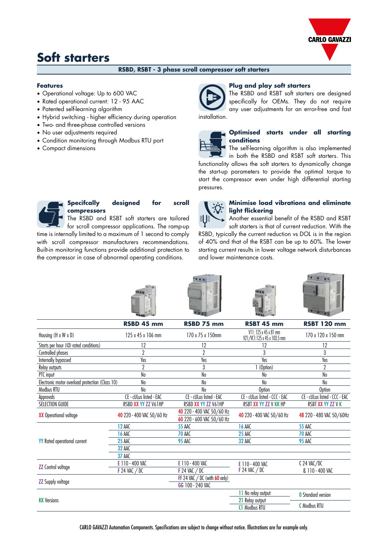

#### **RSBD, RSBT - 3 phase scroll compressor soft starters**

#### **Features**

- Operational voltage: Up to 600 VAC
- Rated operational current: 12 95 AAC
- Patented self-learning algorithm
- Hybrid switching higher efficiency during operation
- Two- and three-phase controlled versions
- No user adjustments required
- Condition monitoring through Modbus RTU port
- Compact dimensions

#### **Plug and play soft starters**



### The RSBD and RSBT soft starters are designed specifically for OEMs. They do not require any user adjustments for an error-free and fast

#### **Optimised starts under all starting conditions**

The self-learning algorithm is also implemented in both the RSBD and RSBT soft starters. This functionality allows the soft starters to dynamically change the start-up parameters to provide the optimal torque to start the compressor even under high differential starting pressures.



#### **Specifcally designed for scroll compressors**

The RSBD and RSBT soft starters are tailored for scroll compressor applications. The ramp-up time is internally limited to a maximum of 1 second to comply with scroll compressor manufacturers recommendations. Built-in monitoring functions provide additional protection to

the compressor in case of abnormal operating conditions.



#### **Minimise load vibrations and eliminate light flickering**

Another essential benefit of the RSBD and RSBT soft starters is that of current reduction. With the RSBD, typically the current reduction vs DOL is in the region of 40% and that of the RSBT can be up to 60%. The lower starting current results in lower voltage network disturbances and lower maintenance costs.

|                                                 |                           | WWWW                                                   |                                                      |                               |
|-------------------------------------------------|---------------------------|--------------------------------------------------------|------------------------------------------------------|-------------------------------|
|                                                 | RSBD 45 mm                | RSBD 75 mm                                             | RSBT 45 mm                                           | <b>RSBT 120 mm</b>            |
| Housing $(H \times W \times D)$                 | 125 x 45 x 106 mm         | 170 x 75 x 150mm                                       | V11: 125 x 45 x 81 mm<br>V21/VC1:125 x 45 x 103.5 mm | 170 x 120 x 150 mm            |
| Starts per hour (@ rated conditions)            | 12                        | 12                                                     | 12                                                   | 12                            |
| Controlled phases                               | $\overline{2}$            | $\overline{2}$                                         | 3                                                    | 3                             |
| Internally bypassed                             | Yes                       | Yes                                                    | Yes                                                  | Yes                           |
| Relay outputs                                   | $\overline{2}$            | 3                                                      | (Option)                                             | $\overline{2}$                |
| PTC input                                       | No                        | No                                                     | No                                                   | No                            |
| Electronic motor overload protection (Class 10) | No                        | No                                                     | No                                                   | No                            |
| Modbus RTU                                      | No                        | N <sub>0</sub>                                         | <b>Option</b>                                        | Option                        |
| Approvals                                       | CE - cULus listed - EAC   | CE - cULus listed - EAC                                | CE - cULus listed - CCC - EAC                        | CE - cULus listed - CCC - EAC |
| SELECTION GUIDE                                 | RSBD XX YY ZZ V61HP       | RSBD XX YY ZZ V61HP                                    | RSBT XX YY ZZ V KK HP                                | RSBT XX YY ZZ V K             |
| <b>XX</b> Operational voltage                   | 40 220 - 400 VAC 50/60 Hz | 40 220 - 400 VAC 50/60 Hz<br>60 220 - 600 VAC 50/60 Hz | 40 220 - 400 VAC 50/60 Hz                            | 48 220 - 480 VAC 50/60Hz      |
|                                                 | <b>12 AAC</b>             | <b>55 AAC</b>                                          | <b>16 AAC</b>                                        | <b>55 AAC</b>                 |
|                                                 | <b>16 AAC</b>             | 70 AAC                                                 | <b>25 AAC</b>                                        | <b>70 AAC</b>                 |
| <b>YY</b> Rated operational current             | <b>25 AAC</b>             | <b>95 AAC</b>                                          | <b>32 AAC</b>                                        | <b>95 AAC</b>                 |
|                                                 | <b>32 AAC</b>             |                                                        |                                                      |                               |
|                                                 | <b>37 AAC</b>             |                                                        |                                                      |                               |
|                                                 | E 110 - 400 VAC           | E 110 - 400 VAC                                        | E 110 - 400 VAC                                      | $C$ 24 VAC/DC                 |
| <b>ZZ</b> Control voltage                       | <b>F 24 VAC / DC</b>      | $F$ 24 VAC $/DC$                                       | $F$ 24 VAC $/DC$                                     | & 110 - 400 VAC               |
|                                                 |                           | FF 24 VAC $/$ DC (with $60$ only)                      |                                                      |                               |
| <b>ZZ</b> Supply voltage                        |                           | GG 100 - 240 VAC                                       |                                                      |                               |
|                                                 |                           |                                                        | 11 No relay output                                   | <b>0</b> Standard version     |
| <b>KK</b> Versions                              |                           |                                                        | 21 Relay output                                      |                               |
|                                                 |                           |                                                        | <b>C1 Modbus RTU</b>                                 | <b>C</b> Modbus RTU           |